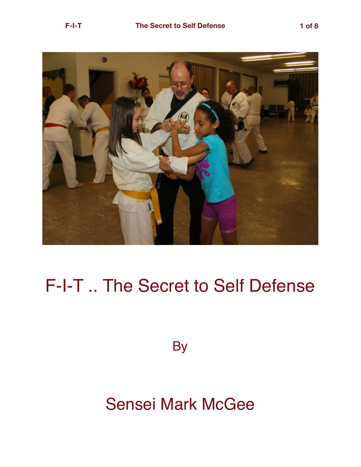

## F-I-T .. The Secret to Self Defense

**By** 

## Sensei Mark McGee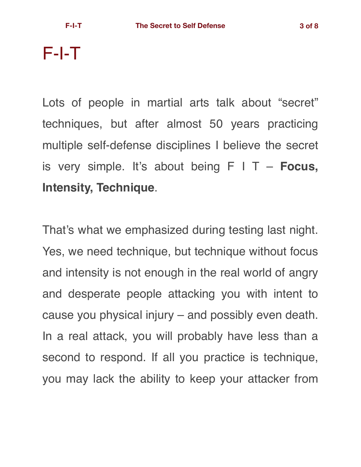F-I-T

Lots of people in martial arts talk about "secret" techniques, but after almost 50 years practicing multiple self-defense disciplines I believe the secret is very simple. It's about being F I T – **Focus, Intensity, Technique**.

That's what we emphasized during testing last night. Yes, we need technique, but technique without focus and intensity is not enough in the real world of angry and desperate people attacking you with intent to cause you physical injury – and possibly even death. In a real attack, you will probably have less than a second to respond. If all you practice is technique, you may lack the ability to keep your attacker from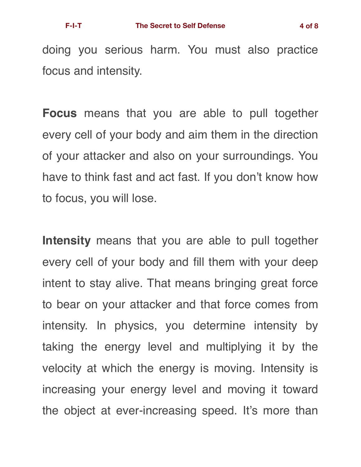doing you serious harm. You must also practice focus and intensity.

**Focus** means that you are able to pull together every cell of your body and aim them in the direction of your attacker and also on your surroundings. You have to think fast and act fast. If you don't know how to focus, you will lose.

**Intensity** means that you are able to pull together every cell of your body and fill them with your deep intent to stay alive. That means bringing great force to bear on your attacker and that force comes from intensity. In physics, you determine intensity by taking the energy level and multiplying it by the velocity at which the energy is moving. Intensity is increasing your energy level and moving it toward the object at ever-increasing speed. It's more than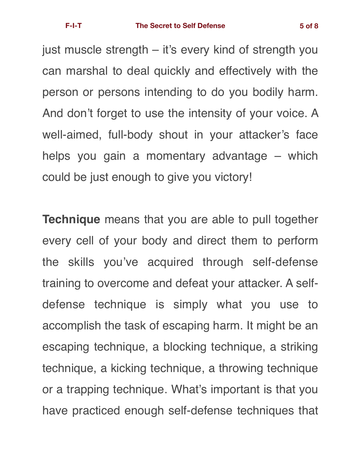just muscle strength – it's every kind of strength you can marshal to deal quickly and effectively with the person or persons intending to do you bodily harm. And don't forget to use the intensity of your voice. A well-aimed, full-body shout in your attacker's face helps you gain a momentary advantage – which could be just enough to give you victory!

**Technique** means that you are able to pull together every cell of your body and direct them to perform the skills you've acquired through self-defense training to overcome and defeat your attacker. A selfdefense technique is simply what you use to accomplish the task of escaping harm. It might be an escaping technique, a blocking technique, a striking technique, a kicking technique, a throwing technique or a trapping technique. What's important is that you have practiced enough self-defense techniques that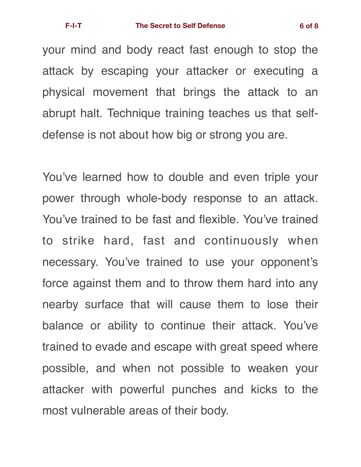your mind and body react fast enough to stop the attack by escaping your attacker or executing a physical movement that brings the attack to an abrupt halt. Technique training teaches us that selfdefense is not about how big or strong you are.

You've learned how to double and even triple your power through whole-body response to an attack. You've trained to be fast and flexible. You've trained to strike hard, fast and continuously when necessary. You've trained to use your opponent's force against them and to throw them hard into any nearby surface that will cause them to lose their balance or ability to continue their attack. You've trained to evade and escape with great speed where possible, and when not possible to weaken your attacker with powerful punches and kicks to the most vulnerable areas of their body.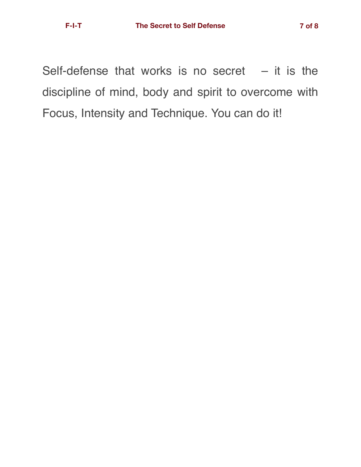Self-defense that works is no secret  $-$  it is the discipline of mind, body and spirit to overcome with Focus, Intensity and Technique. You can do it!